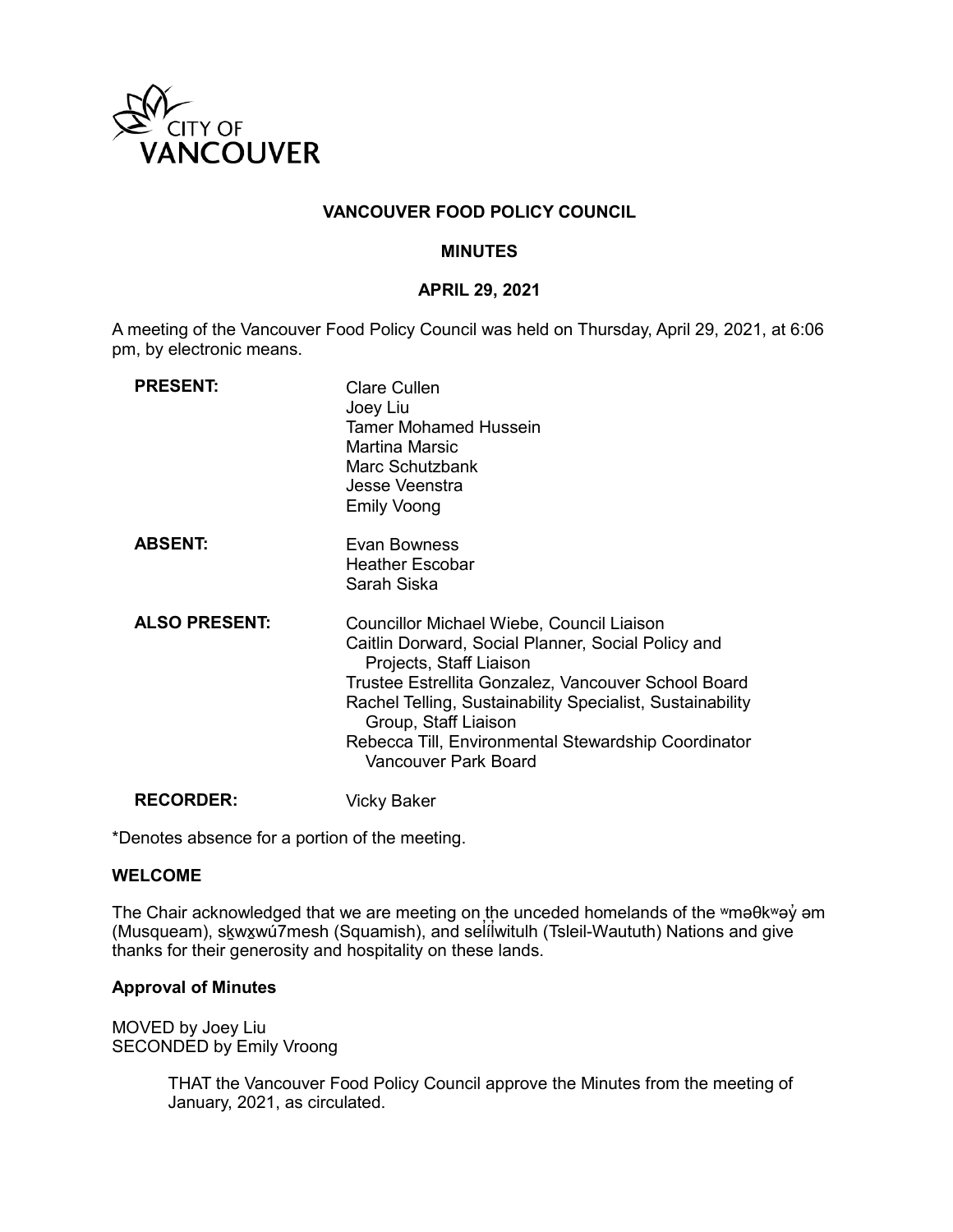

## **VANCOUVER FOOD POLICY COUNCIL**

#### **MINUTES**

#### **APRIL 29, 2021**

A meeting of the Vancouver Food Policy Council was held on Thursday, April 29, 2021, at 6:06 pm, by electronic means.

| <b>PRESENT:</b>      | <b>Clare Cullen</b><br>Joey Liu<br><b>Tamer Mohamed Hussein</b><br>Martina Marsic<br>Marc Schutzbank<br>Jesse Veenstra<br><b>Emily Voong</b>                                                                                                                                                                                                                 |
|----------------------|--------------------------------------------------------------------------------------------------------------------------------------------------------------------------------------------------------------------------------------------------------------------------------------------------------------------------------------------------------------|
| <b>ABSENT:</b>       | Evan Bowness<br>Heather Escobar<br>Sarah Siska                                                                                                                                                                                                                                                                                                               |
| <b>ALSO PRESENT:</b> | Councillor Michael Wiebe, Council Liaison<br>Caitlin Dorward, Social Planner, Social Policy and<br>Projects, Staff Liaison<br>Trustee Estrellita Gonzalez, Vancouver School Board<br>Rachel Telling, Sustainability Specialist, Sustainability<br>Group, Staff Liaison<br>Rebecca Till, Environmental Stewardship Coordinator<br><b>Vancouver Park Board</b> |
| <b>RECORDER:</b>     | Vicky Baker                                                                                                                                                                                                                                                                                                                                                  |

\*Denotes absence for a portion of the meeting.

#### **WELCOME**

The Chair acknowledged that we are meeting on the unceded homelands of the ʷməθkʷəy̓ əm (Musqueam), sḵwx̱wú7mesh (Squamish), and sel íl ̓witulh (Tsleil-Waututh) Nations and give ̓ thanks for their generosity and hospitality on these lands.

#### **Approval of Minutes**

MOVED by Joey Liu SECONDED by Emily Vroong

> THAT the Vancouver Food Policy Council approve the Minutes from the meeting of January, 2021, as circulated.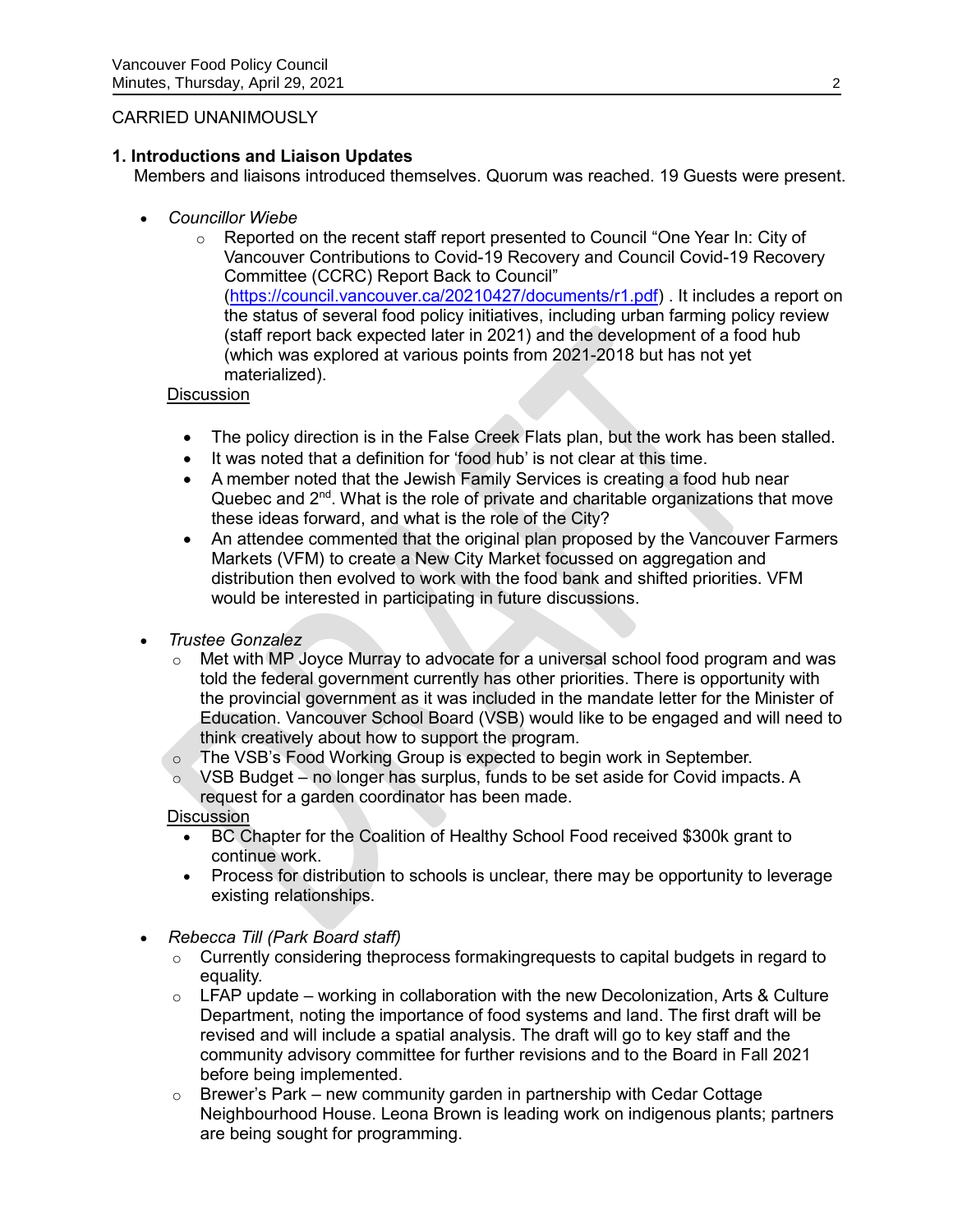## CARRIED UNANIMOUSLY

## **1. Introductions and Liaison Updates**

Members and liaisons introduced themselves. Quorum was reached. 19 Guests were present.

- *Councillor Wiebe*
	- $\circ$  Reported on the recent staff report presented to Council "One Year In: City of Vancouver Contributions to Covid-19 Recovery and Council Covid-19 Recovery Committee (CCRC) Report Back to Council" [\(https://council.vancouver.ca/20210427/documents/r1.pdf\)](https://council.vancouver.ca/20210427/documents/r1.pdf) . It includes a report on the status of several food policy initiatives, including urban farming policy review (staff report back expected later in 2021) and the development of a food hub (which was explored at various points from 2021-2018 but has not yet materialized).

## **Discussion**

- The policy direction is in the False Creek Flats plan, but the work has been stalled.
- It was noted that a definition for 'food hub' is not clear at this time.
- A member noted that the Jewish Family Services is creating a food hub near Quebec and  $2<sup>nd</sup>$ . What is the role of private and charitable organizations that move these ideas forward, and what is the role of the City?
- An attendee commented that the original plan proposed by the Vancouver Farmers Markets (VFM) to create a New City Market focussed on aggregation and distribution then evolved to work with the food bank and shifted priorities. VFM would be interested in participating in future discussions.

# *Trustee Gonzalez*

- o Met with MP Joyce Murray to advocate for a universal school food program and was told the federal government currently has other priorities. There is opportunity with the provincial government as it was included in the mandate letter for the Minister of Education. Vancouver School Board (VSB) would like to be engaged and will need to think creatively about how to support the program.
- o The VSB's Food Working Group is expected to begin work in September.
- o VSB Budget no longer has surplus, funds to be set aside for Covid impacts. A request for a garden coordinator has been made.

**Discussion** 

- BC Chapter for the Coalition of Healthy School Food received \$300k grant to continue work.
- Process for distribution to schools is unclear, there may be opportunity to leverage existing relationships.
- *Rebecca Till (Park Board staff)*
	- $\circ$  Currently considering theprocess formaking requests to capital budgets in regard to equality.
	- $\circ$  LFAP update working in collaboration with the new Decolonization, Arts & Culture Department, noting the importance of food systems and land. The first draft will be revised and will include a spatial analysis. The draft will go to key staff and the community advisory committee for further revisions and to the Board in Fall 2021 before being implemented.
	- $\circ$  Brewer's Park new community garden in partnership with Cedar Cottage Neighbourhood House. Leona Brown is leading work on indigenous plants; partners are being sought for programming.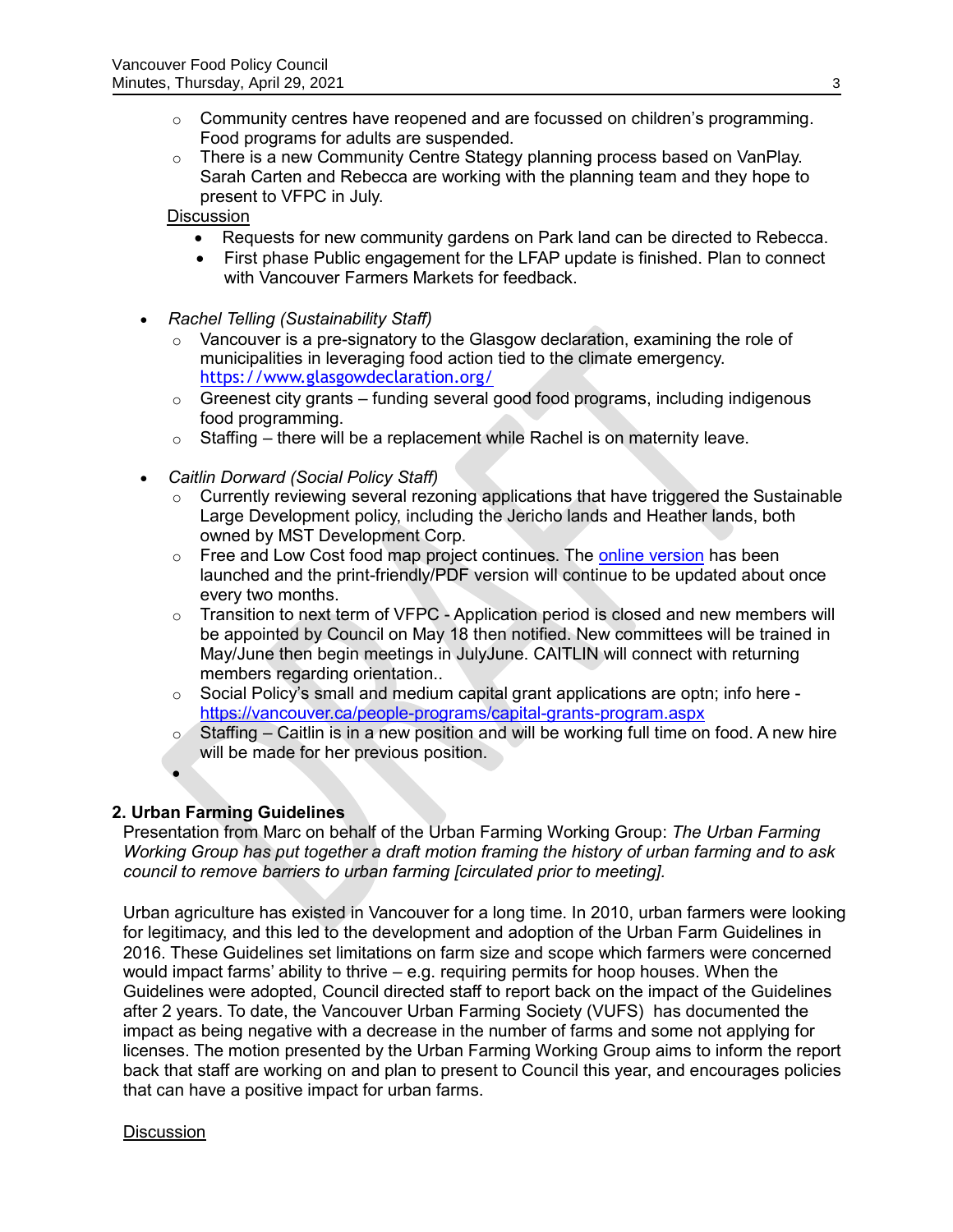- $\circ$  Community centres have reopened and are focussed on children's programming. Food programs for adults are suspended.
- $\circ$  There is a new Community Centre Stategy planning process based on VanPlay. Sarah Carten and Rebecca are working with the planning team and they hope to present to VFPC in July.

**Discussion** 

- Requests for new community gardens on Park land can be directed to Rebecca.
- First phase Public engagement for the LFAP update is finished. Plan to connect with Vancouver Farmers Markets for feedback.
- *Rachel Telling (Sustainability Staff)*
	- $\circ$  Vancouver is a pre-signatory to the Glasgow declaration, examining the role of municipalities in leveraging food action tied to the climate emergency. <https://www.glasgowdeclaration.org/>
	- $\circ$  Greenest city grants funding several good food programs, including indigenous food programming.
	- o Staffing there will be a replacement while Rachel is on maternity leave.
- *Caitlin Dorward (Social Policy Staff)*
	- o Currently reviewing several rezoning applications that have triggered the Sustainable Large Development policy, including the Jericho lands and Heather lands, both owned by MST Development Corp.
	- o Free and Low Cost food map project continues. The [online version](https://vancouver.ca/people-programs/covid-19-coronavirus-help-get-and-give-food.aspx#redirect) has been launched and the print-friendly/PDF version will continue to be updated about once every two months.
	- $\circ$  Transition to next term of VFPC Application period is closed and new members will be appointed by Council on May 18 then notified. New committees will be trained in May/June then begin meetings in JulyJune. CAITLIN will connect with returning members regarding orientation..
	- $\circ$  Social Policy's small and medium capital grant applications are optn; info here <https://vancouver.ca/people-programs/capital-grants-program.aspx>
	- $\circ$  Staffing Caitlin is in a new position and will be working full time on food. A new hire will be made for her previous position.

## **2. Urban Farming Guidelines**

 $\bullet$ 

Presentation from Marc on behalf of the Urban Farming Working Group: *The Urban Farming Working Group has put together a draft motion framing the history of urban farming and to ask council to remove barriers to urban farming [circulated prior to meeting].*

Urban agriculture has existed in Vancouver for a long time. In 2010, urban farmers were looking for legitimacy, and this led to the development and adoption of the Urban Farm Guidelines in 2016. These Guidelines set limitations on farm size and scope which farmers were concerned would impact farms' ability to thrive – e.g. requiring permits for hoop houses. When the Guidelines were adopted, Council directed staff to report back on the impact of the Guidelines after 2 years. To date, the Vancouver Urban Farming Society (VUFS) has documented the impact as being negative with a decrease in the number of farms and some not applying for licenses. The motion presented by the Urban Farming Working Group aims to inform the report back that staff are working on and plan to present to Council this year, and encourages policies that can have a positive impact for urban farms.

**Discussion**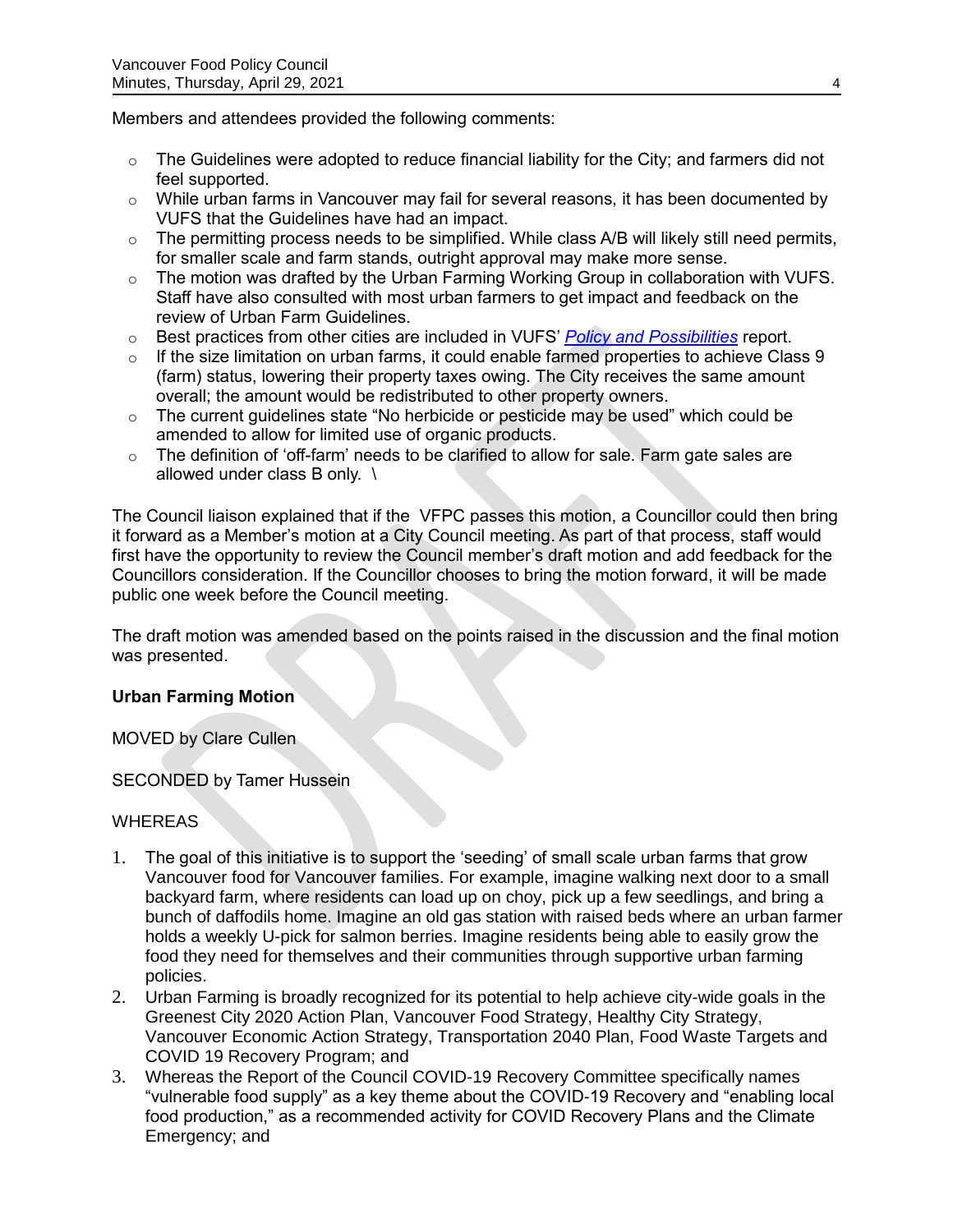Members and attendees provided the following comments:

- $\circ$  The Guidelines were adopted to reduce financial liability for the City; and farmers did not feel supported.
- $\circ$  While urban farms in Vancouver may fail for several reasons, it has been documented by VUFS that the Guidelines have had an impact.
- $\circ$  The permitting process needs to be simplified. While class A/B will likely still need permits, for smaller scale and farm stands, outright approval may make more sense.
- o The motion was drafted by the Urban Farming Working Group in collaboration with VUFS. Staff have also consulted with most urban farmers to get impact and feedback on the review of Urban Farm Guidelines.
- o Best practices from other cities are included in VUFS' *[Policy and Possibilities](http://www.urbanfarmers.ca/policy-and-possibilities/)* report.
- $\circ$  If the size limitation on urban farms, it could enable farmed properties to achieve Class 9 (farm) status, lowering their property taxes owing. The City receives the same amount overall; the amount would be redistributed to other property owners.
- $\circ$  The current guidelines state "No herbicide or pesticide may be used" which could be amended to allow for limited use of organic products.
- o The definition of 'off-farm' needs to be clarified to allow for sale. Farm gate sales are allowed under class B only. \

The Council liaison explained that if the VFPC passes this motion, a Councillor could then bring it forward as a Member's motion at a City Council meeting. As part of that process, staff would first have the opportunity to review the Council member's draft motion and add feedback for the Councillors consideration. If the Councillor chooses to bring the motion forward, it will be made public one week before the Council meeting.

The draft motion was amended based on the points raised in the discussion and the final motion was presented.

## **Urban Farming Motion**

MOVED by Clare Cullen

SECONDED by Tamer Hussein

## WHEREAS

- 1. The goal of this initiative is to support the 'seeding' of small scale urban farms that grow Vancouver food for Vancouver families. For example, imagine walking next door to a small backyard farm, where residents can load up on choy, pick up a few seedlings, and bring a bunch of daffodils home. Imagine an old gas station with raised beds where an urban farmer holds a weekly U-pick for salmon berries. Imagine residents being able to easily grow the food they need for themselves and their communities through supportive urban farming policies.
- 2. Urban Farming is broadly recognized for its potential to help achieve city-wide goals in the Greenest City 2020 Action Plan, Vancouver Food Strategy, Healthy City Strategy, Vancouver Economic Action Strategy, Transportation 2040 Plan, Food Waste Targets and COVID 19 Recovery Program; and
- 3. Whereas the Report of the Council COVID-19 Recovery Committee specifically names "vulnerable food supply" as a key theme about the COVID-19 Recovery and "enabling local food production," as a recommended activity for COVID Recovery Plans and the Climate Emergency; and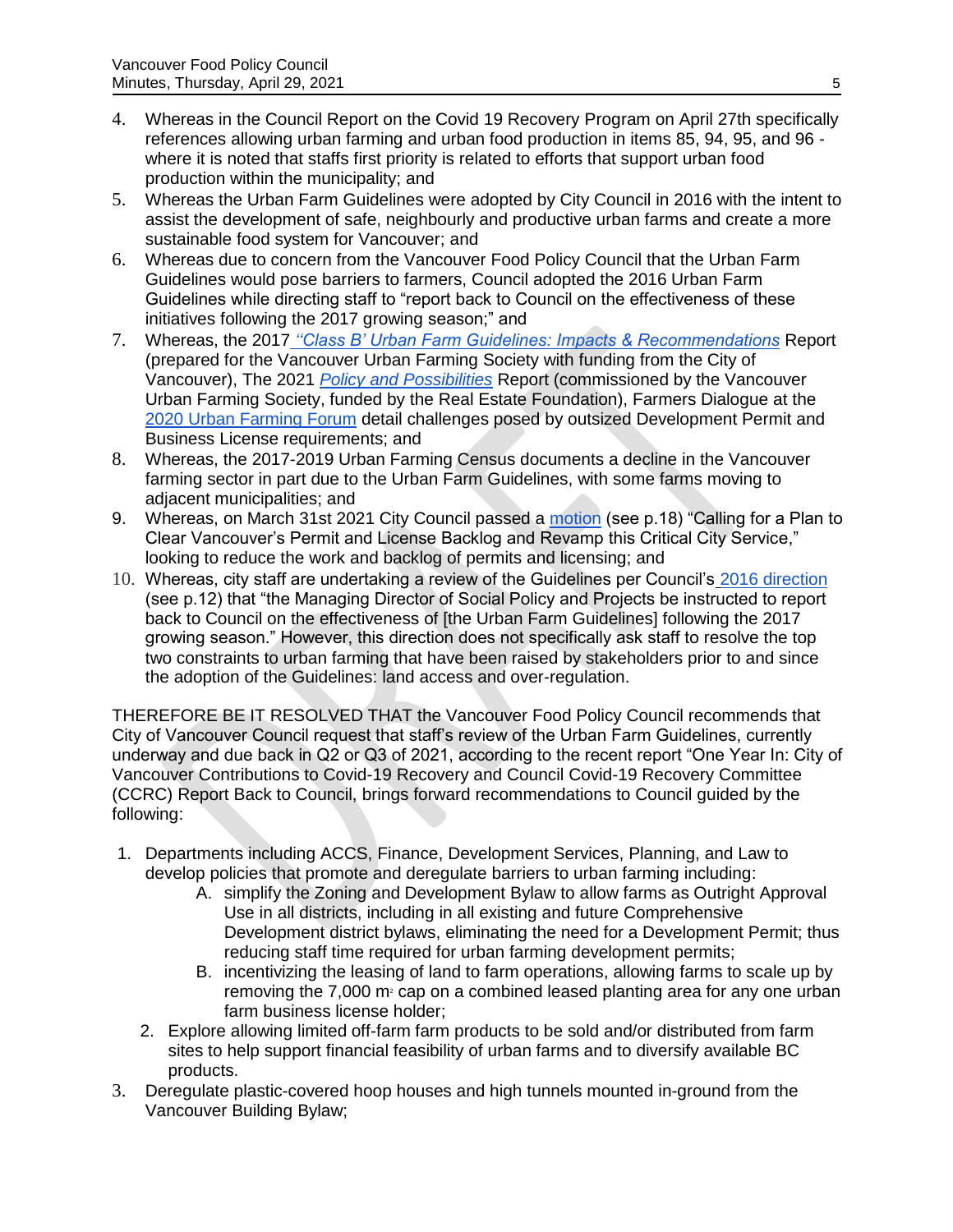- 4. Whereas in the Council Report on the Covid 19 Recovery Program on April 27th specifically references allowing urban farming and urban food production in items 85, 94, 95, and 96 where it is noted that staffs first priority is related to efforts that support urban food production within the municipality; and
- 5. Whereas the Urban Farm Guidelines were adopted by City Council in 2016 with the intent to assist the development of safe, neighbourly and productive urban farms and create a more sustainable food system for Vancouver; and
- 6. Whereas due to concern from the Vancouver Food Policy Council that the Urban Farm Guidelines would pose barriers to farmers, Council adopted the 2016 Urban Farm Guidelines while directing staff to "report back to Council on the effectiveness of these initiatives following the 2017 growing season;" and
- 7. Whereas, the 2017 *[''Class B' Urban Farm Guidelines: Impacts & Recommendations](http://www.urbanfarmers.ca/wp-content/uploads/2013/04/ClassB_Urban_Farm_Guidelines_Impacts_Recommendations.pdf)* Report (prepared for the Vancouver Urban Farming Society with funding from the City of Vancouver), The 2021 *[Policy and Possibilities](http://www.urbanfarmers.ca/policy-and-possibilities/)* Report (commissioned by the Vancouver Urban Farming Society, funded by the Real Estate Foundation), Farmers Dialogue at the [2020 Urban Farming Forum](http://www.urbanfarmers.ca/wp-content/uploads/2020/01/Forum_program_2020_Jan16_WebVersion.pdf) detail challenges posed by outsized Development Permit and Business License requirements; and
- 8. Whereas, the 2017-2019 Urban Farming Census documents a decline in the Vancouver farming sector in part due to the Urban Farm Guidelines, with some farms moving to adjacent municipalities; and
- 9. Whereas, on March 31st 2021 City Council passed a [motion](https://council.vancouver.ca/20210331/documents/cfsc20210331min.pdf) (see p.18) "Calling for a Plan to Clear Vancouver's Permit and License Backlog and Revamp this Critical City Service," looking to reduce the work and backlog of permits and licensing; and
- 10. Whereas, city staff are undertaking a review of the Guidelines per Council's [2016 direction](https://council.vancouver.ca/20160223/documents/regu20160223min.pdf) (see p.12) that "the Managing Director of Social Policy and Projects be instructed to report back to Council on the effectiveness of [the Urban Farm Guidelines] following the 2017 growing season." However, this direction does not specifically ask staff to resolve the top two constraints to urban farming that have been raised by stakeholders prior to and since the adoption of the Guidelines: land access and over-regulation.

THEREFORE BE IT RESOLVED THAT the Vancouver Food Policy Council recommends that City of Vancouver Council request that staff's review of the Urban Farm Guidelines, currently underway and due back in Q2 or Q3 of 2021, according to the recent report "One Year In: City of Vancouver Contributions to Covid-19 Recovery and Council Covid-19 Recovery Committee (CCRC) Report Back to Council, brings forward recommendations to Council guided by the following:

- 1. Departments including ACCS, Finance, Development Services, Planning, and Law to develop policies that promote and deregulate barriers to urban farming including:
	- A. simplify the Zoning and Development Bylaw to allow farms as Outright Approval Use in all districts, including in all existing and future Comprehensive Development district bylaws, eliminating the need for a Development Permit; thus reducing staff time required for urban farming development permits;
	- B. incentivizing the leasing of land to farm operations, allowing farms to scale up by removing the 7,000  $m<sup>2</sup>$  cap on a combined leased planting area for any one urban farm business license holder;
	- 2. Explore allowing limited off-farm farm products to be sold and/or distributed from farm sites to help support financial feasibility of urban farms and to diversify available BC products.
- 3. Deregulate plastic-covered hoop houses and high tunnels mounted in-ground from the Vancouver Building Bylaw;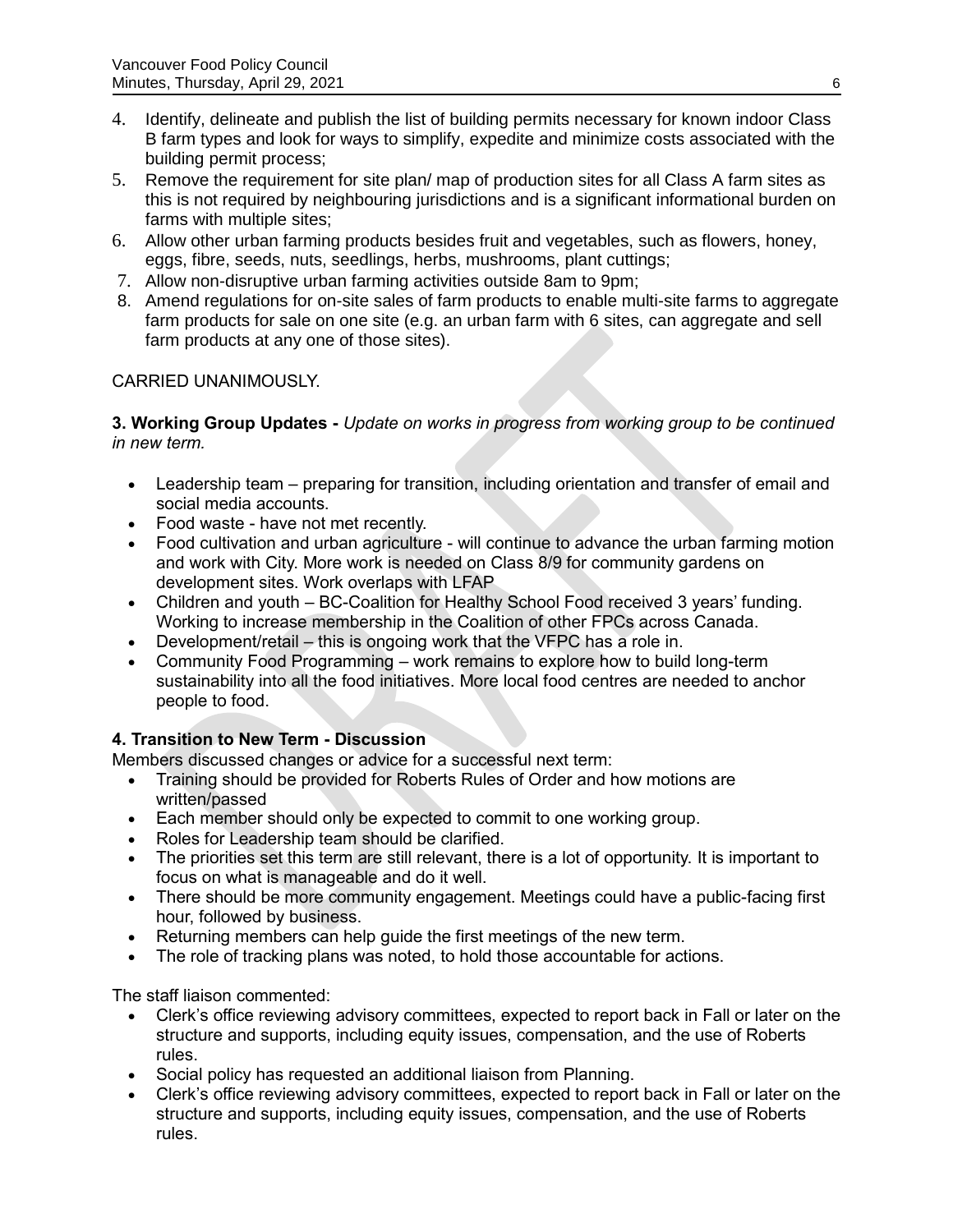- 4. Identify, delineate and publish the list of building permits necessary for known indoor Class B farm types and look for ways to simplify, expedite and minimize costs associated with the building permit process;
- 5. Remove the requirement for site plan/ map of production sites for all Class A farm sites as this is not required by neighbouring jurisdictions and is a significant informational burden on farms with multiple sites;
- 6. Allow other urban farming products besides fruit and vegetables, such as flowers, honey, eggs, fibre, seeds, nuts, seedlings, herbs, mushrooms, plant cuttings;
- 7. Allow non-disruptive urban farming activities outside 8am to 9pm;
- 8. Amend regulations for on-site sales of farm products to enable multi-site farms to aggregate farm products for sale on one site (e.g. an urban farm with 6 sites, can aggregate and sell farm products at any one of those sites).

# CARRIED UNANIMOUSLY.

**3. Working Group Updates -** *Update on works in progress from working group to be continued in new term.*

- Leadership team *–* preparing for transition, including orientation and transfer of email and social media accounts.
- Food waste have not met recently.
- Food cultivation and urban agriculture will continue to advance the urban farming motion and work with City. More work is needed on Class 8/9 for community gardens on development sites. Work overlaps with LFAP
- Children and youth BC-Coalition for Healthy School Food received 3 years' funding. Working to increase membership in the Coalition of other FPCs across Canada.
- Development/retail this is ongoing work that the VFPC has a role in.
- Community Food Programming work remains to explore how to build long-term sustainability into all the food initiatives. More local food centres are needed to anchor people to food.

# **4. Transition to New Term - Discussion**

Members discussed changes or advice for a successful next term:

- Training should be provided for Roberts Rules of Order and how motions are written/passed
- Each member should only be expected to commit to one working group.
- Roles for Leadership team should be clarified.
- The priorities set this term are still relevant, there is a lot of opportunity. It is important to focus on what is manageable and do it well.
- There should be more community engagement. Meetings could have a public-facing first hour, followed by business.
- Returning members can help guide the first meetings of the new term.
- The role of tracking plans was noted, to hold those accountable for actions.

The staff liaison commented:

- Clerk's office reviewing advisory committees, expected to report back in Fall or later on the structure and supports, including equity issues, compensation, and the use of Roberts rules.
- Social policy has requested an additional liaison from Planning.
- Clerk's office reviewing advisory committees, expected to report back in Fall or later on the structure and supports, including equity issues, compensation, and the use of Roberts rules.